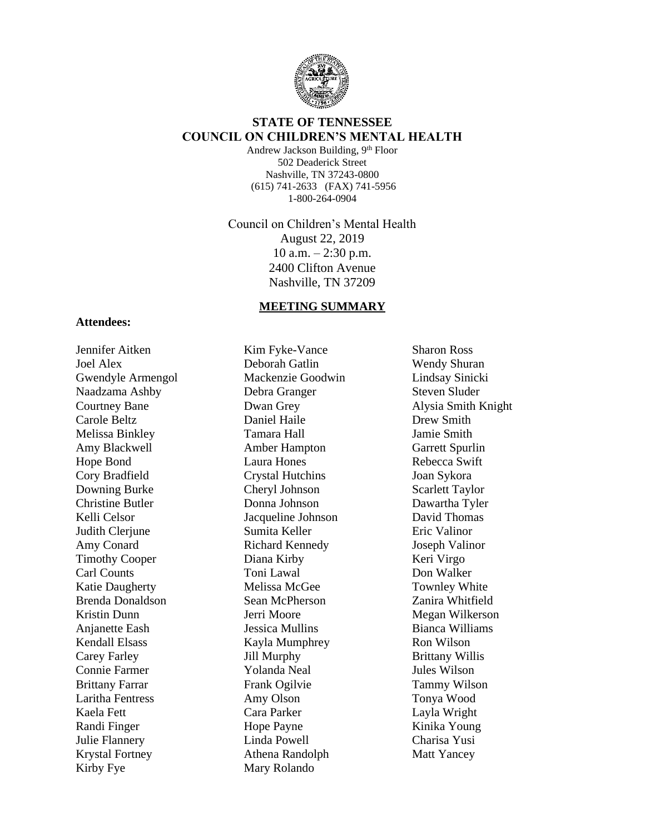

## **STATE OF TENNESSEE COUNCIL ON CHILDREN'S MENTAL HEALTH**

Andrew Jackson Building, 9<sup>th</sup> Floor 502 Deaderick Street Nashville, TN 37243-0800 (615) 741-2633 (FAX) 741-5956 1-800-264-0904

Council on Children's Mental Health August 22, 2019 10 a.m.  $-2:30$  p.m. 2400 Clifton Avenue Nashville, TN 37209

#### **MEETING SUMMARY**

#### **Attendees:**

Jennifer Aitken Joel Alex Gwendyle Armengol Naadzama Ashby Courtney Bane Carole Beltz Melissa Binkley Amy Blackwell Hope Bond Cory Bradfield Downing Burke Christine Butler Kelli Celsor Judith Clerjune Amy Conard Timothy Cooper Carl Counts Katie Daugherty Brenda Donaldson Kristin Dunn Anjanette Eash Kendall Elsass Carey Farley Connie Farmer Brittany Farrar Laritha Fentress Kaela Fett Randi Finger Julie Flannery Krystal Fortney Kirby Fye

Kim Fyke-Vance Deborah Gatlin Mackenzie Goodwin Debra Granger Dwan Grey Daniel Haile Tamara Hall Amber Hampton Laura Hones Crystal Hutchins Cheryl Johnson Donna Johnson Jacqueline Johnson Sumita Keller Richard Kennedy Diana Kirby Toni Lawal Melissa McGee Sean McPherson Jerri Moore Jessica Mullins Kayla Mumphrey Jill Murphy Yolanda Neal Frank Ogilvie Amy Olson Cara Parker Hope Payne Linda Powell Athena Randolph Mary Rolando

Sharon Ross Wendy Shuran Lindsay Sinicki Steven Sluder Alysia Smith Knight Drew Smith Jamie Smith Garrett Spurlin Rebecca Swift Joan Sykora Scarlett Taylor Dawartha Tyler David Thomas Eric Valinor Joseph Valinor Keri Virgo Don Walker Townley White Zanira Whitfield Megan Wilkerson Bianca Williams Ron Wilson Brittany Willis Jules Wilson Tammy Wilson Tonya Wood Layla Wright Kinika Young Charisa Yusi Matt Yancey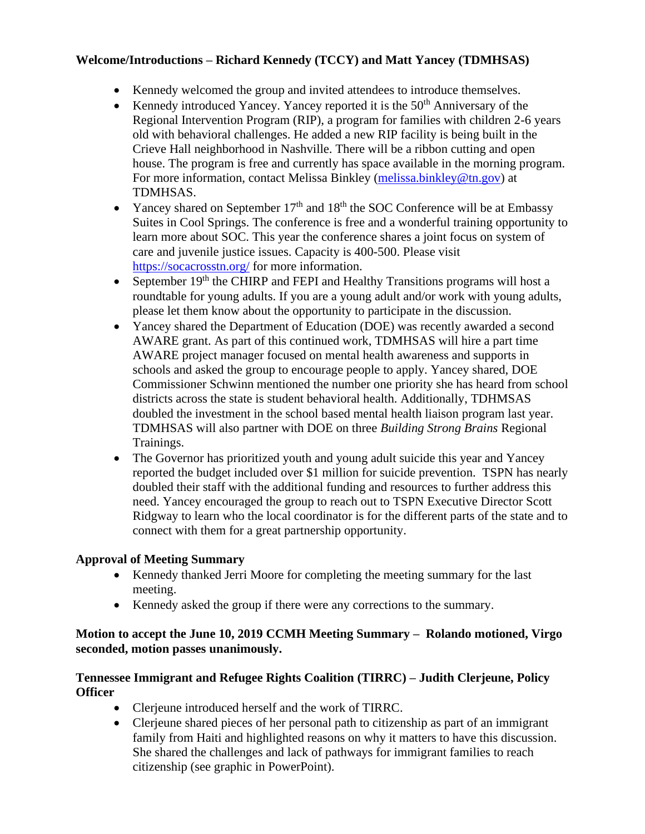## **Welcome/Introductions – Richard Kennedy (TCCY) and Matt Yancey (TDMHSAS)**

- Kennedy welcomed the group and invited attendees to introduce themselves.
- Kennedy introduced Yancey. Yancey reported it is the  $50<sup>th</sup>$  Anniversary of the Regional Intervention Program (RIP), a program for families with children 2-6 years old with behavioral challenges. He added a new RIP facility is being built in the Crieve Hall neighborhood in Nashville. There will be a ribbon cutting and open house. The program is free and currently has space available in the morning program. For more information, contact Melissa Binkley [\(melissa.binkley@tn.gov\)](mailto:melissa.binkley@tn.gov) at TDMHSAS.
- Yancey shared on September  $17<sup>th</sup>$  and  $18<sup>th</sup>$  the SOC Conference will be at Embassy Suites in Cool Springs. The conference is free and a wonderful training opportunity to learn more about SOC. This year the conference shares a joint focus on system of care and juvenile justice issues. Capacity is 400-500. Please visit <https://socacrosstn.org/> for more information.
- September  $19<sup>th</sup>$  the CHIRP and FEPI and Healthy Transitions programs will host a roundtable for young adults. If you are a young adult and/or work with young adults, please let them know about the opportunity to participate in the discussion.
- Yancey shared the Department of Education (DOE) was recently awarded a second AWARE grant. As part of this continued work, TDMHSAS will hire a part time AWARE project manager focused on mental health awareness and supports in schools and asked the group to encourage people to apply. Yancey shared, DOE Commissioner Schwinn mentioned the number one priority she has heard from school districts across the state is student behavioral health. Additionally, TDHMSAS doubled the investment in the school based mental health liaison program last year. TDMHSAS will also partner with DOE on three *Building Strong Brains* Regional Trainings.
- The Governor has prioritized youth and young adult suicide this year and Yancey reported the budget included over \$1 million for suicide prevention. TSPN has nearly doubled their staff with the additional funding and resources to further address this need. Yancey encouraged the group to reach out to TSPN Executive Director Scott Ridgway to learn who the local coordinator is for the different parts of the state and to connect with them for a great partnership opportunity.

# **Approval of Meeting Summary**

- Kennedy thanked Jerri Moore for completing the meeting summary for the last meeting.
- Kennedy asked the group if there were any corrections to the summary.

# **Motion to accept the June 10, 2019 CCMH Meeting Summary – Rolando motioned, Virgo seconded, motion passes unanimously.**

## **Tennessee Immigrant and Refugee Rights Coalition (TIRRC) – Judith Clerjeune, Policy Officer**

- Clerjeune introduced herself and the work of TIRRC.
- Clerjeune shared pieces of her personal path to citizenship as part of an immigrant family from Haiti and highlighted reasons on why it matters to have this discussion. She shared the challenges and lack of pathways for immigrant families to reach citizenship (see graphic in PowerPoint).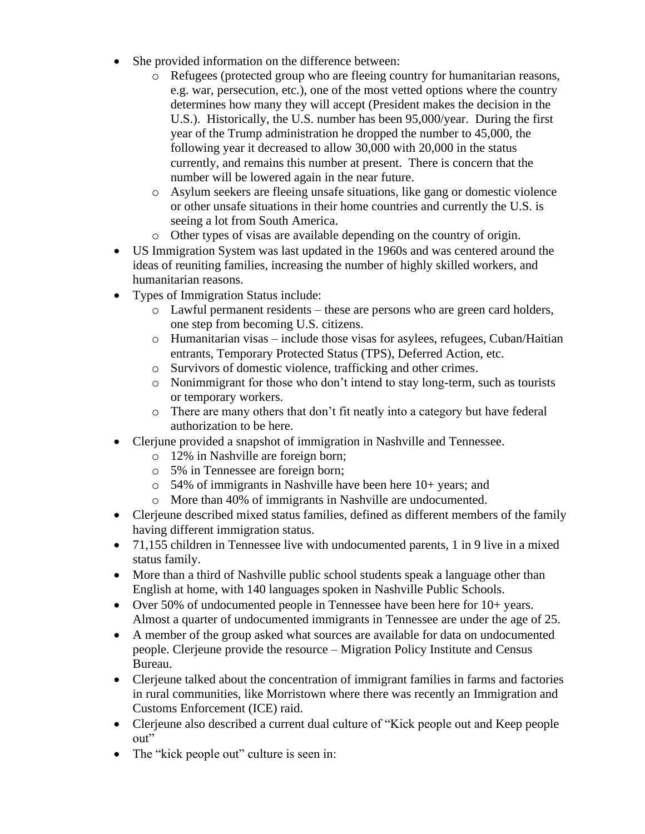- She provided information on the difference between:
	- o Refugees (protected group who are fleeing country for humanitarian reasons, e.g. war, persecution, etc.), one of the most vetted options where the country determines how many they will accept (President makes the decision in the U.S.). Historically, the U.S. number has been 95,000/year. During the first year of the Trump administration he dropped the number to 45,000, the following year it decreased to allow 30,000 with 20,000 in the status currently, and remains this number at present. There is concern that the number will be lowered again in the near future.
	- o Asylum seekers are fleeing unsafe situations, like gang or domestic violence or other unsafe situations in their home countries and currently the U.S. is seeing a lot from South America.
	- o Other types of visas are available depending on the country of origin.
- US Immigration System was last updated in the 1960s and was centered around the ideas of reuniting families, increasing the number of highly skilled workers, and humanitarian reasons.
- Types of Immigration Status include:
	- o Lawful permanent residents these are persons who are green card holders, one step from becoming U.S. citizens.
	- o Humanitarian visas include those visas for asylees, refugees, Cuban/Haitian entrants, Temporary Protected Status (TPS), Deferred Action, etc.
	- o Survivors of domestic violence, trafficking and other crimes.
	- o Nonimmigrant for those who don't intend to stay long-term, such as tourists or temporary workers.
	- o There are many others that don't fit neatly into a category but have federal authorization to be here.
- Clerjune provided a snapshot of immigration in Nashville and Tennessee.
	- o 12% in Nashville are foreign born;
	- o 5% in Tennessee are foreign born;
	- o 54% of immigrants in Nashville have been here 10+ years; and
	- o More than 40% of immigrants in Nashville are undocumented.
- Clerjeune described mixed status families, defined as different members of the family having different immigration status.
- 71,155 children in Tennessee live with undocumented parents, 1 in 9 live in a mixed status family.
- More than a third of Nashville public school students speak a language other than English at home, with 140 languages spoken in Nashville Public Schools.
- Over 50% of undocumented people in Tennessee have been here for 10+ years. Almost a quarter of undocumented immigrants in Tennessee are under the age of 25.
- A member of the group asked what sources are available for data on undocumented people. Clerjeune provide the resource – Migration Policy Institute and Census Bureau.
- Clerjeune talked about the concentration of immigrant families in farms and factories in rural communities, like Morristown where there was recently an Immigration and Customs Enforcement (ICE) raid.
- Clerjeune also described a current dual culture of "Kick people out and Keep people out"
- The "kick people out" culture is seen in: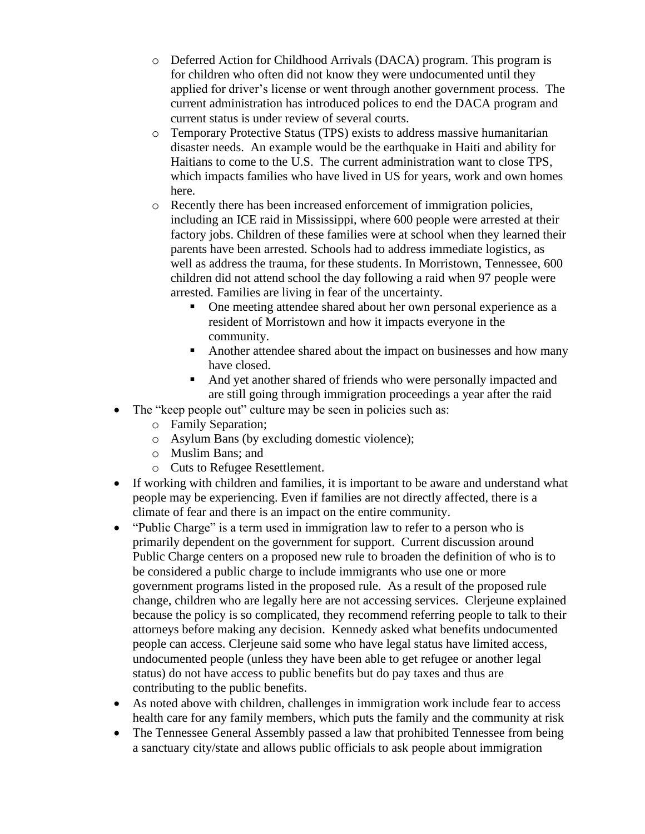- o Deferred Action for Childhood Arrivals (DACA) program. This program is for children who often did not know they were undocumented until they applied for driver's license or went through another government process. The current administration has introduced polices to end the DACA program and current status is under review of several courts.
- o Temporary Protective Status (TPS) exists to address massive humanitarian disaster needs. An example would be the earthquake in Haiti and ability for Haitians to come to the U.S. The current administration want to close TPS, which impacts families who have lived in US for years, work and own homes here.
- o Recently there has been increased enforcement of immigration policies, including an ICE raid in Mississippi, where 600 people were arrested at their factory jobs. Children of these families were at school when they learned their parents have been arrested. Schools had to address immediate logistics, as well as address the trauma, for these students. In Morristown, Tennessee, 600 children did not attend school the day following a raid when 97 people were arrested. Families are living in fear of the uncertainty.
	- One meeting attendee shared about her own personal experience as a resident of Morristown and how it impacts everyone in the community.
	- Another attendee shared about the impact on businesses and how many have closed.
	- And yet another shared of friends who were personally impacted and are still going through immigration proceedings a year after the raid
- The "keep people out" culture may be seen in policies such as:
	- o Family Separation;
	- o Asylum Bans (by excluding domestic violence);
	- o Muslim Bans; and
	- o Cuts to Refugee Resettlement.
- If working with children and families, it is important to be aware and understand what people may be experiencing. Even if families are not directly affected, there is a climate of fear and there is an impact on the entire community.
- "Public Charge" is a term used in immigration law to refer to a person who is primarily dependent on the government for support. Current discussion around Public Charge centers on a proposed new rule to broaden the definition of who is to be considered a public charge to include immigrants who use one or more government programs listed in the proposed rule. As a result of the proposed rule change, children who are legally here are not accessing services. Clerjeune explained because the policy is so complicated, they recommend referring people to talk to their attorneys before making any decision. Kennedy asked what benefits undocumented people can access. Clerjeune said some who have legal status have limited access, undocumented people (unless they have been able to get refugee or another legal status) do not have access to public benefits but do pay taxes and thus are contributing to the public benefits.
- As noted above with children, challenges in immigration work include fear to access health care for any family members, which puts the family and the community at risk
- The Tennessee General Assembly passed a law that prohibited Tennessee from being a sanctuary city/state and allows public officials to ask people about immigration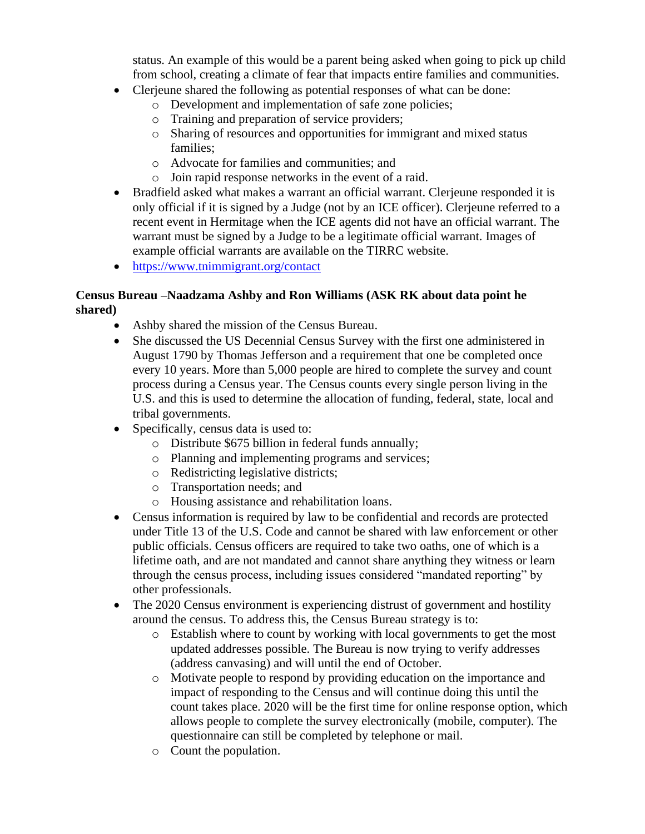status. An example of this would be a parent being asked when going to pick up child from school, creating a climate of fear that impacts entire families and communities.

- Clerieune shared the following as potential responses of what can be done:
	- o Development and implementation of safe zone policies;
	- o Training and preparation of service providers;
	- o Sharing of resources and opportunities for immigrant and mixed status families;
	- o Advocate for families and communities; and
	- o Join rapid response networks in the event of a raid.
- Bradfield asked what makes a warrant an official warrant. Clerieune responded it is only official if it is signed by a Judge (not by an ICE officer). Clerjeune referred to a recent event in Hermitage when the ICE agents did not have an official warrant. The warrant must be signed by a Judge to be a legitimate official warrant. Images of example official warrants are available on the TIRRC website.
- <https://www.tnimmigrant.org/contact>

## **Census Bureau –Naadzama Ashby and Ron Williams (ASK RK about data point he shared)**

- Ashby shared the mission of the Census Bureau.
- She discussed the US Decennial Census Survey with the first one administered in August 1790 by Thomas Jefferson and a requirement that one be completed once every 10 years. More than 5,000 people are hired to complete the survey and count process during a Census year. The Census counts every single person living in the U.S. and this is used to determine the allocation of funding, federal, state, local and tribal governments.
- Specifically, census data is used to:
	- o Distribute \$675 billion in federal funds annually;
	- o Planning and implementing programs and services;
	- o Redistricting legislative districts;
	- o Transportation needs; and
	- o Housing assistance and rehabilitation loans.
- Census information is required by law to be confidential and records are protected under Title 13 of the U.S. Code and cannot be shared with law enforcement or other public officials. Census officers are required to take two oaths, one of which is a lifetime oath, and are not mandated and cannot share anything they witness or learn through the census process, including issues considered "mandated reporting" by other professionals.
- The 2020 Census environment is experiencing distrust of government and hostility around the census. To address this, the Census Bureau strategy is to:
	- o Establish where to count by working with local governments to get the most updated addresses possible. The Bureau is now trying to verify addresses (address canvasing) and will until the end of October.
	- o Motivate people to respond by providing education on the importance and impact of responding to the Census and will continue doing this until the count takes place. 2020 will be the first time for online response option, which allows people to complete the survey electronically (mobile, computer). The questionnaire can still be completed by telephone or mail.
	- o Count the population.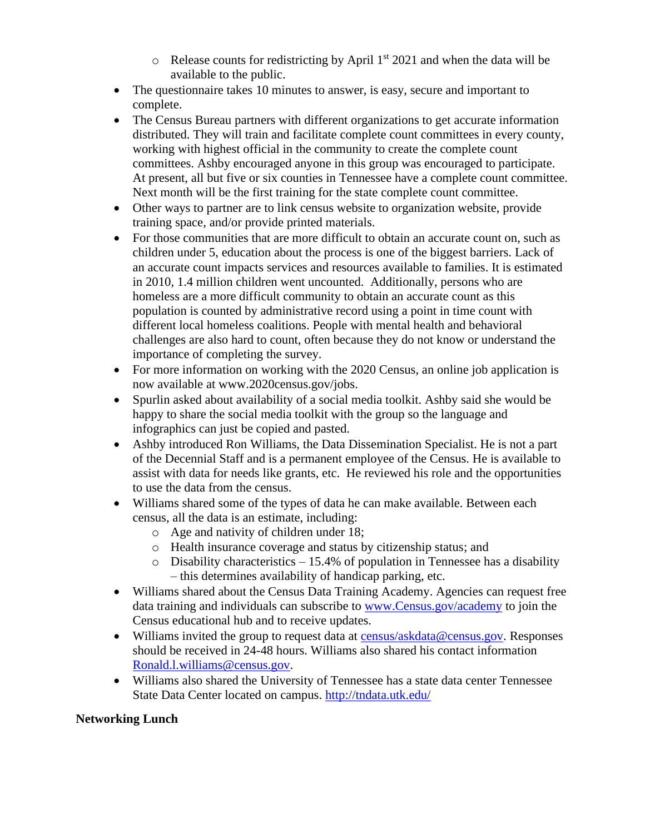- $\circ$  Release counts for redistricting by April 1<sup>st</sup> 2021 and when the data will be available to the public.
- The questionnaire takes 10 minutes to answer, is easy, secure and important to complete.
- The Census Bureau partners with different organizations to get accurate information distributed. They will train and facilitate complete count committees in every county, working with highest official in the community to create the complete count committees. Ashby encouraged anyone in this group was encouraged to participate. At present, all but five or six counties in Tennessee have a complete count committee. Next month will be the first training for the state complete count committee.
- Other ways to partner are to link census website to organization website, provide training space, and/or provide printed materials.
- For those communities that are more difficult to obtain an accurate count on, such as children under 5, education about the process is one of the biggest barriers. Lack of an accurate count impacts services and resources available to families. It is estimated in 2010, 1.4 million children went uncounted. Additionally, persons who are homeless are a more difficult community to obtain an accurate count as this population is counted by administrative record using a point in time count with different local homeless coalitions. People with mental health and behavioral challenges are also hard to count, often because they do not know or understand the importance of completing the survey.
- For more information on working with the 2020 Census, an online job application is now available at www.2020census.gov/jobs.
- Spurlin asked about availability of a social media toolkit. Ashby said she would be happy to share the social media toolkit with the group so the language and infographics can just be copied and pasted.
- Ashby introduced Ron Williams, the Data Dissemination Specialist. He is not a part of the Decennial Staff and is a permanent employee of the Census. He is available to assist with data for needs like grants, etc. He reviewed his role and the opportunities to use the data from the census.
- Williams shared some of the types of data he can make available. Between each census, all the data is an estimate, including:
	- o Age and nativity of children under 18;
	- o Health insurance coverage and status by citizenship status; and
	- $\circ$  Disability characteristics 15.4% of population in Tennessee has a disability – this determines availability of handicap parking, etc.
- Williams shared about the Census Data Training Academy. Agencies can request free data training and individuals can subscribe to [www.Census.gov/academy](http://www.census.gov/academy) to join the Census educational hub and to receive updates.
- Williams invited the group to request data at [census/askdata@census.gov.](mailto:census/askdata@census.gov) Responses should be received in 24-48 hours. Williams also shared his contact information [Ronald.l.williams@census.gov.](mailto:Ronald.l.williams@census.gov)
- Williams also shared the University of Tennessee has a state data center Tennessee State Data Center located on campus.<http://tndata.utk.edu/>

# **Networking Lunch**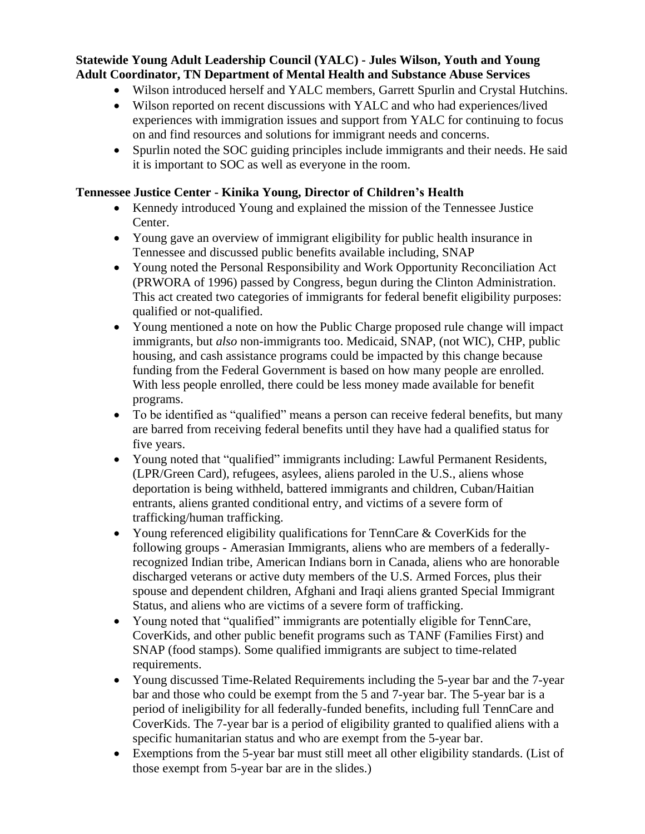# **Statewide Young Adult Leadership Council (YALC) - Jules Wilson, Youth and Young Adult Coordinator, TN Department of Mental Health and Substance Abuse Services**

- Wilson introduced herself and YALC members, Garrett Spurlin and Crystal Hutchins.
- Wilson reported on recent discussions with YALC and who had experiences/lived experiences with immigration issues and support from YALC for continuing to focus on and find resources and solutions for immigrant needs and concerns.
- Spurlin noted the SOC guiding principles include immigrants and their needs. He said it is important to SOC as well as everyone in the room.

### **Tennessee Justice Center - Kinika Young, Director of Children's Health**

- Kennedy introduced Young and explained the mission of the Tennessee Justice Center.
- Young gave an overview of immigrant eligibility for public health insurance in Tennessee and discussed public benefits available including, SNAP
- Young noted the Personal Responsibility and Work Opportunity Reconciliation Act (PRWORA of 1996) passed by Congress, begun during the Clinton Administration. This act created two categories of immigrants for federal benefit eligibility purposes: qualified or not-qualified.
- Young mentioned a note on how the Public Charge proposed rule change will impact immigrants, but *also* non-immigrants too. Medicaid, SNAP, (not WIC), CHP, public housing, and cash assistance programs could be impacted by this change because funding from the Federal Government is based on how many people are enrolled. With less people enrolled, there could be less money made available for benefit programs.
- To be identified as "qualified" means a person can receive federal benefits, but many are barred from receiving federal benefits until they have had a qualified status for five years.
- Young noted that "qualified" immigrants including: Lawful Permanent Residents, (LPR/Green Card), refugees, asylees, aliens paroled in the U.S., aliens whose deportation is being withheld, battered immigrants and children, Cuban/Haitian entrants, aliens granted conditional entry, and victims of a severe form of trafficking/human trafficking.
- Young referenced eligibility qualifications for TennCare & CoverKids for the following groups - Amerasian Immigrants, aliens who are members of a federallyrecognized Indian tribe, American Indians born in Canada, aliens who are honorable discharged veterans or active duty members of the U.S. Armed Forces, plus their spouse and dependent children, Afghani and Iraqi aliens granted Special Immigrant Status, and aliens who are victims of a severe form of trafficking.
- Young noted that "qualified" immigrants are potentially eligible for TennCare, CoverKids, and other public benefit programs such as TANF (Families First) and SNAP (food stamps). Some qualified immigrants are subject to time-related requirements.
- Young discussed Time-Related Requirements including the 5-year bar and the 7-year bar and those who could be exempt from the 5 and 7-year bar. The 5-year bar is a period of ineligibility for all federally-funded benefits, including full TennCare and CoverKids. The 7-year bar is a period of eligibility granted to qualified aliens with a specific humanitarian status and who are exempt from the 5-year bar.
- Exemptions from the 5-year bar must still meet all other eligibility standards. (List of those exempt from 5-year bar are in the slides.)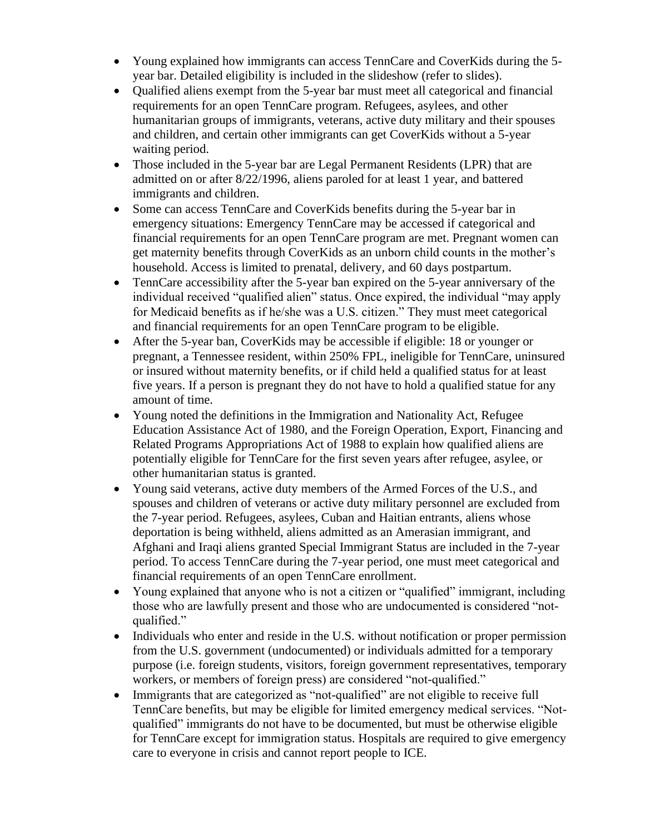- Young explained how immigrants can access TennCare and CoverKids during the 5 year bar. Detailed eligibility is included in the slideshow (refer to slides).
- Qualified aliens exempt from the 5-year bar must meet all categorical and financial requirements for an open TennCare program. Refugees, asylees, and other humanitarian groups of immigrants, veterans, active duty military and their spouses and children, and certain other immigrants can get CoverKids without a 5-year waiting period.
- Those included in the 5-year bar are Legal Permanent Residents (LPR) that are admitted on or after 8/22/1996, aliens paroled for at least 1 year, and battered immigrants and children.
- Some can access TennCare and CoverKids benefits during the 5-year bar in emergency situations: Emergency TennCare may be accessed if categorical and financial requirements for an open TennCare program are met. Pregnant women can get maternity benefits through CoverKids as an unborn child counts in the mother's household. Access is limited to prenatal, delivery, and 60 days postpartum.
- TennCare accessibility after the 5-year ban expired on the 5-year anniversary of the individual received "qualified alien" status. Once expired, the individual "may apply for Medicaid benefits as if he/she was a U.S. citizen." They must meet categorical and financial requirements for an open TennCare program to be eligible.
- After the 5-year ban, CoverKids may be accessible if eligible: 18 or younger or pregnant, a Tennessee resident, within 250% FPL, ineligible for TennCare, uninsured or insured without maternity benefits, or if child held a qualified status for at least five years. If a person is pregnant they do not have to hold a qualified statue for any amount of time.
- Young noted the definitions in the Immigration and Nationality Act, Refugee Education Assistance Act of 1980, and the Foreign Operation, Export, Financing and Related Programs Appropriations Act of 1988 to explain how qualified aliens are potentially eligible for TennCare for the first seven years after refugee, asylee, or other humanitarian status is granted.
- Young said veterans, active duty members of the Armed Forces of the U.S., and spouses and children of veterans or active duty military personnel are excluded from the 7-year period. Refugees, asylees, Cuban and Haitian entrants, aliens whose deportation is being withheld, aliens admitted as an Amerasian immigrant, and Afghani and Iraqi aliens granted Special Immigrant Status are included in the 7-year period. To access TennCare during the 7-year period, one must meet categorical and financial requirements of an open TennCare enrollment.
- Young explained that anyone who is not a citizen or "qualified" immigrant, including those who are lawfully present and those who are undocumented is considered "notqualified."
- Individuals who enter and reside in the U.S. without notification or proper permission from the U.S. government (undocumented) or individuals admitted for a temporary purpose (i.e. foreign students, visitors, foreign government representatives, temporary workers, or members of foreign press) are considered "not-qualified."
- Immigrants that are categorized as "not-qualified" are not eligible to receive full TennCare benefits, but may be eligible for limited emergency medical services. "Notqualified" immigrants do not have to be documented, but must be otherwise eligible for TennCare except for immigration status. Hospitals are required to give emergency care to everyone in crisis and cannot report people to ICE.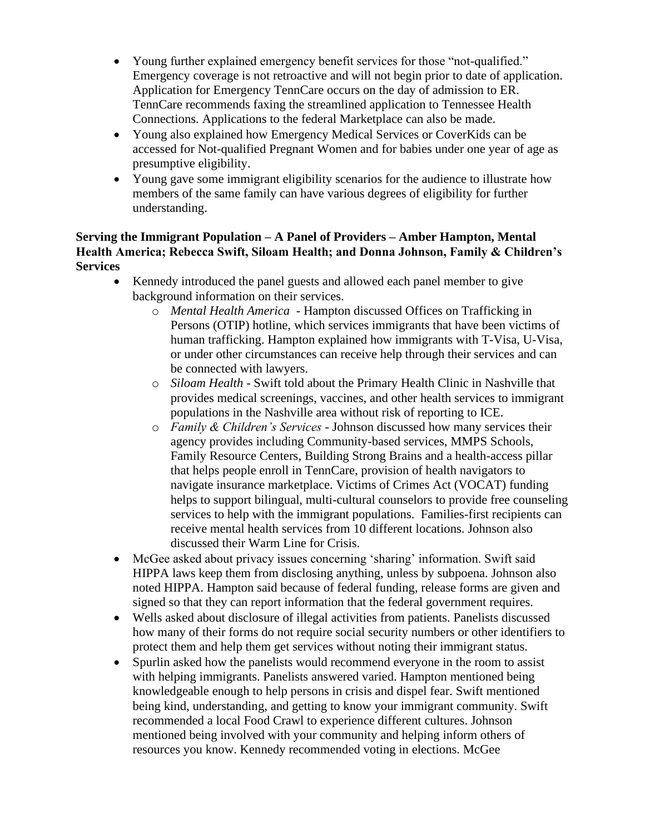- Young further explained emergency benefit services for those "not-qualified." Emergency coverage is not retroactive and will not begin prior to date of application. Application for Emergency TennCare occurs on the day of admission to ER. TennCare recommends faxing the streamlined application to Tennessee Health Connections. Applications to the federal Marketplace can also be made.
- Young also explained how Emergency Medical Services or CoverKids can be accessed for Not-qualified Pregnant Women and for babies under one year of age as presumptive eligibility.
- Young gave some immigrant eligibility scenarios for the audience to illustrate how members of the same family can have various degrees of eligibility for further understanding.

### **Serving the Immigrant Population – A Panel of Providers – Amber Hampton, Mental Health America; Rebecca Swift, Siloam Health; and Donna Johnson, Family & Children's Services**

- Kennedy introduced the panel guests and allowed each panel member to give background information on their services.
	- o *Mental Health America*  Hampton discussed Offices on Trafficking in Persons (OTIP) hotline, which services immigrants that have been victims of human trafficking. Hampton explained how immigrants with T-Visa, U-Visa, or under other circumstances can receive help through their services and can be connected with lawyers.
	- o *Siloam Health -* Swift told about the Primary Health Clinic in Nashville that provides medical screenings, vaccines, and other health services to immigrant populations in the Nashville area without risk of reporting to ICE.
	- o *Family & Children's Services -* Johnson discussed how many services their agency provides including Community-based services, MMPS Schools, Family Resource Centers, Building Strong Brains and a health-access pillar that helps people enroll in TennCare, provision of health navigators to navigate insurance marketplace. Victims of Crimes Act (VOCAT) funding helps to support bilingual, multi-cultural counselors to provide free counseling services to help with the immigrant populations. Families-first recipients can receive mental health services from 10 different locations. Johnson also discussed their Warm Line for Crisis.
- McGee asked about privacy issues concerning 'sharing' information. Swift said HIPPA laws keep them from disclosing anything, unless by subpoena. Johnson also noted HIPPA. Hampton said because of federal funding, release forms are given and signed so that they can report information that the federal government requires.
- Wells asked about disclosure of illegal activities from patients. Panelists discussed how many of their forms do not require social security numbers or other identifiers to protect them and help them get services without noting their immigrant status.
- Spurlin asked how the panelists would recommend everyone in the room to assist with helping immigrants. Panelists answered varied. Hampton mentioned being knowledgeable enough to help persons in crisis and dispel fear. Swift mentioned being kind, understanding, and getting to know your immigrant community. Swift recommended a local Food Crawl to experience different cultures. Johnson mentioned being involved with your community and helping inform others of resources you know. Kennedy recommended voting in elections. McGee